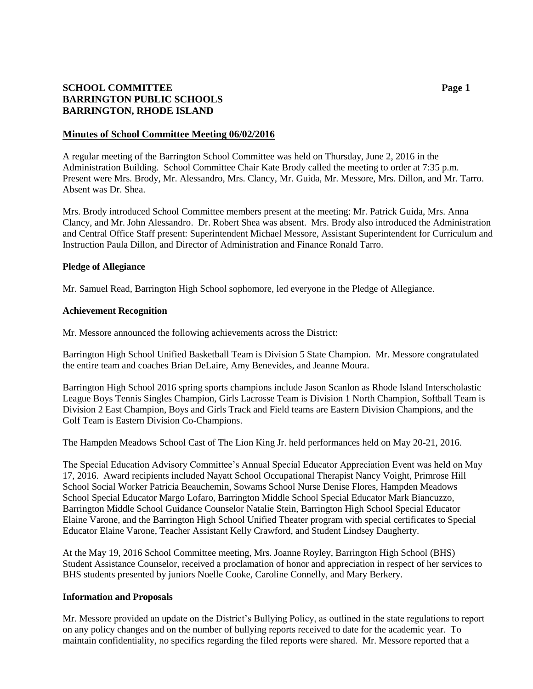# **SCHOOL COMMITTEE Page 1 BARRINGTON PUBLIC SCHOOLS BARRINGTON, RHODE ISLAND**

## **Minutes of School Committee Meeting 06/02/2016**

A regular meeting of the Barrington School Committee was held on Thursday, June 2, 2016 in the Administration Building. School Committee Chair Kate Brody called the meeting to order at 7:35 p.m. Present were Mrs. Brody, Mr. Alessandro, Mrs. Clancy, Mr. Guida, Mr. Messore, Mrs. Dillon, and Mr. Tarro. Absent was Dr. Shea.

Mrs. Brody introduced School Committee members present at the meeting: Mr. Patrick Guida, Mrs. Anna Clancy, and Mr. John Alessandro. Dr. Robert Shea was absent. Mrs. Brody also introduced the Administration and Central Office Staff present: Superintendent Michael Messore, Assistant Superintendent for Curriculum and Instruction Paula Dillon, and Director of Administration and Finance Ronald Tarro.

## **Pledge of Allegiance**

Mr. Samuel Read, Barrington High School sophomore, led everyone in the Pledge of Allegiance.

## **Achievement Recognition**

Mr. Messore announced the following achievements across the District:

Barrington High School Unified Basketball Team is Division 5 State Champion. Mr. Messore congratulated the entire team and coaches Brian DeLaire, Amy Benevides, and Jeanne Moura.

Barrington High School 2016 spring sports champions include Jason Scanlon as Rhode Island Interscholastic League Boys Tennis Singles Champion, Girls Lacrosse Team is Division 1 North Champion, Softball Team is Division 2 East Champion, Boys and Girls Track and Field teams are Eastern Division Champions, and the Golf Team is Eastern Division Co-Champions.

The Hampden Meadows School Cast of The Lion King Jr. held performances held on May 20-21, 2016.

The Special Education Advisory Committee's Annual Special Educator Appreciation Event was held on May 17, 2016. Award recipients included Nayatt School Occupational Therapist Nancy Voight, Primrose Hill School Social Worker Patricia Beauchemin, Sowams School Nurse Denise Flores, Hampden Meadows School Special Educator Margo Lofaro, Barrington Middle School Special Educator Mark Biancuzzo, Barrington Middle School Guidance Counselor Natalie Stein, Barrington High School Special Educator Elaine Varone, and the Barrington High School Unified Theater program with special certificates to Special Educator Elaine Varone, Teacher Assistant Kelly Crawford, and Student Lindsey Daugherty.

At the May 19, 2016 School Committee meeting, Mrs. Joanne Royley, Barrington High School (BHS) Student Assistance Counselor, received a proclamation of honor and appreciation in respect of her services to BHS students presented by juniors Noelle Cooke, Caroline Connelly, and Mary Berkery.

#### **Information and Proposals**

Mr. Messore provided an update on the District's Bullying Policy, as outlined in the state regulations to report on any policy changes and on the number of bullying reports received to date for the academic year. To maintain confidentiality, no specifics regarding the filed reports were shared. Mr. Messore reported that a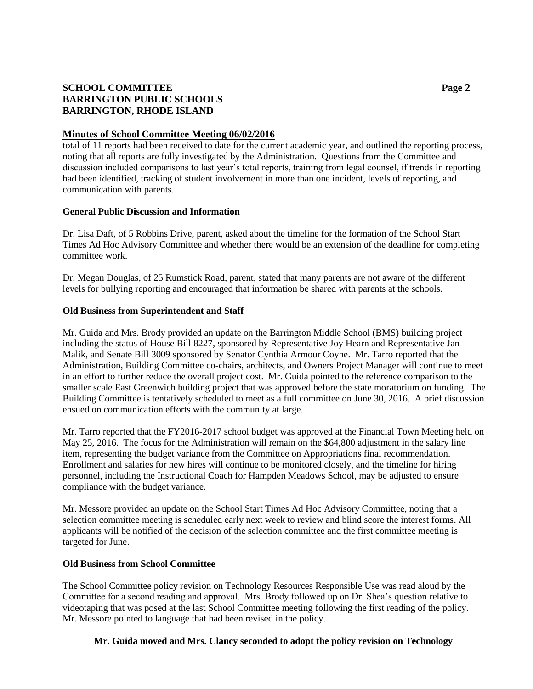# **SCHOOL COMMITTEE Page 2 BARRINGTON PUBLIC SCHOOLS BARRINGTON, RHODE ISLAND**

## **Minutes of School Committee Meeting 06/02/2016**

total of 11 reports had been received to date for the current academic year, and outlined the reporting process, noting that all reports are fully investigated by the Administration. Questions from the Committee and discussion included comparisons to last year's total reports, training from legal counsel, if trends in reporting had been identified, tracking of student involvement in more than one incident, levels of reporting, and communication with parents.

## **General Public Discussion and Information**

Dr. Lisa Daft, of 5 Robbins Drive, parent, asked about the timeline for the formation of the School Start Times Ad Hoc Advisory Committee and whether there would be an extension of the deadline for completing committee work.

Dr. Megan Douglas, of 25 Rumstick Road, parent, stated that many parents are not aware of the different levels for bullying reporting and encouraged that information be shared with parents at the schools.

## **Old Business from Superintendent and Staff**

Mr. Guida and Mrs. Brody provided an update on the Barrington Middle School (BMS) building project including the status of House Bill 8227, sponsored by Representative Joy Hearn and Representative Jan Malik, and Senate Bill 3009 sponsored by Senator Cynthia Armour Coyne. Mr. Tarro reported that the Administration, Building Committee co-chairs, architects, and Owners Project Manager will continue to meet in an effort to further reduce the overall project cost. Mr. Guida pointed to the reference comparison to the smaller scale East Greenwich building project that was approved before the state moratorium on funding. The Building Committee is tentatively scheduled to meet as a full committee on June 30, 2016. A brief discussion ensued on communication efforts with the community at large.

Mr. Tarro reported that the FY2016-2017 school budget was approved at the Financial Town Meeting held on May 25, 2016. The focus for the Administration will remain on the \$64,800 adjustment in the salary line item, representing the budget variance from the Committee on Appropriations final recommendation. Enrollment and salaries for new hires will continue to be monitored closely, and the timeline for hiring personnel, including the Instructional Coach for Hampden Meadows School, may be adjusted to ensure compliance with the budget variance.

Mr. Messore provided an update on the School Start Times Ad Hoc Advisory Committee, noting that a selection committee meeting is scheduled early next week to review and blind score the interest forms. All applicants will be notified of the decision of the selection committee and the first committee meeting is targeted for June.

#### **Old Business from School Committee**

The School Committee policy revision on Technology Resources Responsible Use was read aloud by the Committee for a second reading and approval. Mrs. Brody followed up on Dr. Shea's question relative to videotaping that was posed at the last School Committee meeting following the first reading of the policy. Mr. Messore pointed to language that had been revised in the policy.

# **Mr. Guida moved and Mrs. Clancy seconded to adopt the policy revision on Technology**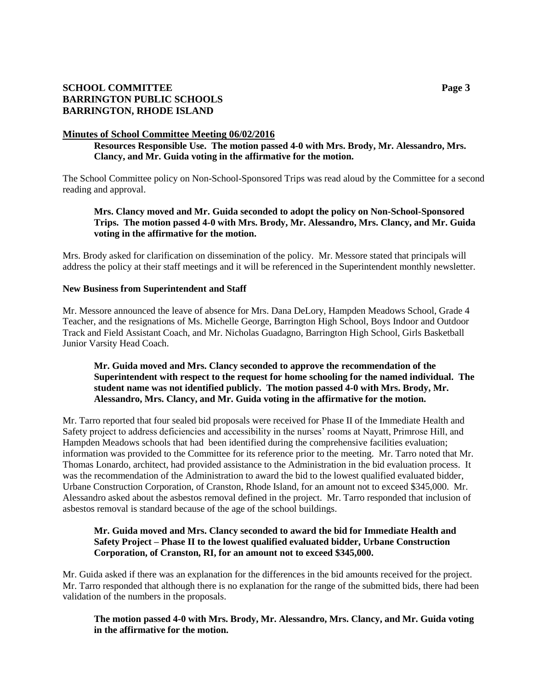# **SCHOOL COMMITTEE Page 3 BARRINGTON PUBLIC SCHOOLS BARRINGTON, RHODE ISLAND**

## **Minutes of School Committee Meeting 06/02/2016**

**Resources Responsible Use. The motion passed 4-0 with Mrs. Brody, Mr. Alessandro, Mrs. Clancy, and Mr. Guida voting in the affirmative for the motion.**

The School Committee policy on Non-School-Sponsored Trips was read aloud by the Committee for a second reading and approval.

# **Mrs. Clancy moved and Mr. Guida seconded to adopt the policy on Non-School-Sponsored Trips. The motion passed 4-0 with Mrs. Brody, Mr. Alessandro, Mrs. Clancy, and Mr. Guida voting in the affirmative for the motion.**

Mrs. Brody asked for clarification on dissemination of the policy. Mr. Messore stated that principals will address the policy at their staff meetings and it will be referenced in the Superintendent monthly newsletter.

## **New Business from Superintendent and Staff**

Mr. Messore announced the leave of absence for Mrs. Dana DeLory, Hampden Meadows School, Grade 4 Teacher, and the resignations of Ms. Michelle George, Barrington High School, Boys Indoor and Outdoor Track and Field Assistant Coach, and Mr. Nicholas Guadagno, Barrington High School, Girls Basketball Junior Varsity Head Coach.

# **Mr. Guida moved and Mrs. Clancy seconded to approve the recommendation of the Superintendent with respect to the request for home schooling for the named individual. The student name was not identified publicly. The motion passed 4-0 with Mrs. Brody, Mr. Alessandro, Mrs. Clancy, and Mr. Guida voting in the affirmative for the motion.**

Mr. Tarro reported that four sealed bid proposals were received for Phase II of the Immediate Health and Safety project to address deficiencies and accessibility in the nurses' rooms at Nayatt, Primrose Hill, and Hampden Meadows schools that had been identified during the comprehensive facilities evaluation; information was provided to the Committee for its reference prior to the meeting. Mr. Tarro noted that Mr. Thomas Lonardo, architect, had provided assistance to the Administration in the bid evaluation process. It was the recommendation of the Administration to award the bid to the lowest qualified evaluated bidder, Urbane Construction Corporation, of Cranston, Rhode Island, for an amount not to exceed \$345,000. Mr. Alessandro asked about the asbestos removal defined in the project. Mr. Tarro responded that inclusion of asbestos removal is standard because of the age of the school buildings.

## **Mr. Guida moved and Mrs. Clancy seconded to award the bid for Immediate Health and Safety Project – Phase II to the lowest qualified evaluated bidder, Urbane Construction Corporation, of Cranston, RI, for an amount not to exceed \$345,000.**

Mr. Guida asked if there was an explanation for the differences in the bid amounts received for the project. Mr. Tarro responded that although there is no explanation for the range of the submitted bids, there had been validation of the numbers in the proposals.

# **The motion passed 4-0 with Mrs. Brody, Mr. Alessandro, Mrs. Clancy, and Mr. Guida voting in the affirmative for the motion.**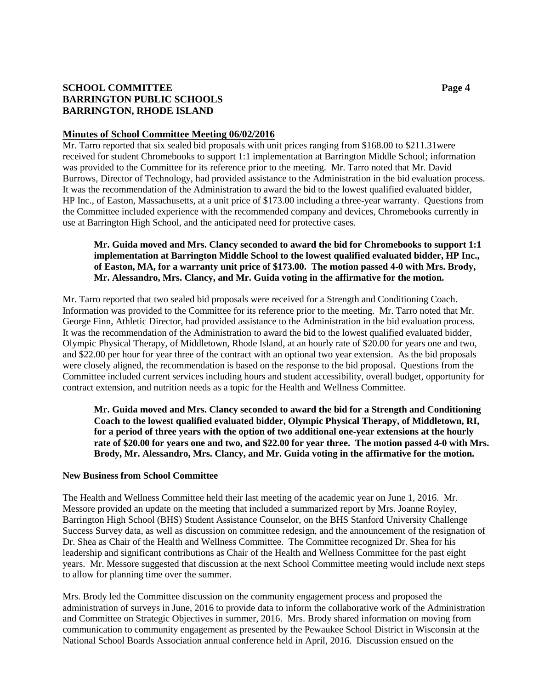# **SCHOOL COMMITTEE Page 4 BARRINGTON PUBLIC SCHOOLS BARRINGTON, RHODE ISLAND**

## **Minutes of School Committee Meeting 06/02/2016**

Mr. Tarro reported that six sealed bid proposals with unit prices ranging from \$168.00 to \$211.31were received for student Chromebooks to support 1:1 implementation at Barrington Middle School; information was provided to the Committee for its reference prior to the meeting. Mr. Tarro noted that Mr. David Burrows, Director of Technology, had provided assistance to the Administration in the bid evaluation process. It was the recommendation of the Administration to award the bid to the lowest qualified evaluated bidder, HP Inc., of Easton, Massachusetts, at a unit price of \$173.00 including a three-year warranty. Questions from the Committee included experience with the recommended company and devices, Chromebooks currently in use at Barrington High School, and the anticipated need for protective cases.

# **Mr. Guida moved and Mrs. Clancy seconded to award the bid for Chromebooks to support 1:1 implementation at Barrington Middle School to the lowest qualified evaluated bidder, HP Inc., of Easton, MA, for a warranty unit price of \$173.00. The motion passed 4-0 with Mrs. Brody, Mr. Alessandro, Mrs. Clancy, and Mr. Guida voting in the affirmative for the motion.**

Mr. Tarro reported that two sealed bid proposals were received for a Strength and Conditioning Coach. Information was provided to the Committee for its reference prior to the meeting. Mr. Tarro noted that Mr. George Finn, Athletic Director, had provided assistance to the Administration in the bid evaluation process. It was the recommendation of the Administration to award the bid to the lowest qualified evaluated bidder, Olympic Physical Therapy, of Middletown, Rhode Island, at an hourly rate of \$20.00 for years one and two, and \$22.00 per hour for year three of the contract with an optional two year extension. As the bid proposals were closely aligned, the recommendation is based on the response to the bid proposal. Questions from the Committee included current services including hours and student accessibility, overall budget, opportunity for contract extension, and nutrition needs as a topic for the Health and Wellness Committee.

**Mr. Guida moved and Mrs. Clancy seconded to award the bid for a Strength and Conditioning Coach to the lowest qualified evaluated bidder, Olympic Physical Therapy, of Middletown, RI, for a period of three years with the option of two additional one-year extensions at the hourly rate of \$20.00 for years one and two, and \$22.00 for year three. The motion passed 4-0 with Mrs. Brody, Mr. Alessandro, Mrs. Clancy, and Mr. Guida voting in the affirmative for the motion.**

# **New Business from School Committee**

The Health and Wellness Committee held their last meeting of the academic year on June 1, 2016. Mr. Messore provided an update on the meeting that included a summarized report by Mrs. Joanne Royley, Barrington High School (BHS) Student Assistance Counselor, on the BHS Stanford University Challenge Success Survey data, as well as discussion on committee redesign, and the announcement of the resignation of Dr. Shea as Chair of the Health and Wellness Committee. The Committee recognized Dr. Shea for his leadership and significant contributions as Chair of the Health and Wellness Committee for the past eight years. Mr. Messore suggested that discussion at the next School Committee meeting would include next steps to allow for planning time over the summer.

Mrs. Brody led the Committee discussion on the community engagement process and proposed the administration of surveys in June, 2016 to provide data to inform the collaborative work of the Administration and Committee on Strategic Objectives in summer, 2016. Mrs. Brody shared information on moving from communication to community engagement as presented by the Pewaukee School District in Wisconsin at the National School Boards Association annual conference held in April, 2016. Discussion ensued on the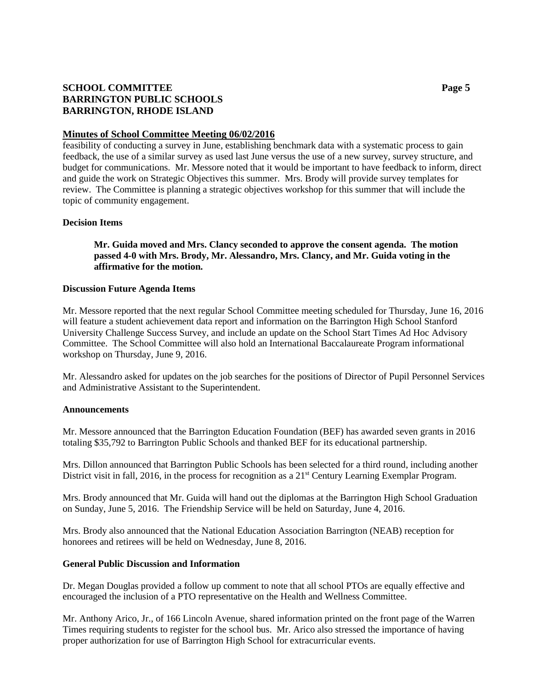# **SCHOOL COMMITTEE Page 5 BARRINGTON PUBLIC SCHOOLS BARRINGTON, RHODE ISLAND**

## **Minutes of School Committee Meeting 06/02/2016**

feasibility of conducting a survey in June, establishing benchmark data with a systematic process to gain feedback, the use of a similar survey as used last June versus the use of a new survey, survey structure, and budget for communications. Mr. Messore noted that it would be important to have feedback to inform, direct and guide the work on Strategic Objectives this summer. Mrs. Brody will provide survey templates for review. The Committee is planning a strategic objectives workshop for this summer that will include the topic of community engagement.

## **Decision Items**

# **Mr. Guida moved and Mrs. Clancy seconded to approve the consent agenda. The motion passed 4-0 with Mrs. Brody, Mr. Alessandro, Mrs. Clancy, and Mr. Guida voting in the affirmative for the motion.**

#### **Discussion Future Agenda Items**

Mr. Messore reported that the next regular School Committee meeting scheduled for Thursday, June 16, 2016 will feature a student achievement data report and information on the Barrington High School Stanford University Challenge Success Survey, and include an update on the School Start Times Ad Hoc Advisory Committee. The School Committee will also hold an International Baccalaureate Program informational workshop on Thursday, June 9, 2016.

Mr. Alessandro asked for updates on the job searches for the positions of Director of Pupil Personnel Services and Administrative Assistant to the Superintendent.

#### **Announcements**

Mr. Messore announced that the Barrington Education Foundation (BEF) has awarded seven grants in 2016 totaling \$35,792 to Barrington Public Schools and thanked BEF for its educational partnership.

Mrs. Dillon announced that Barrington Public Schools has been selected for a third round, including another District visit in fall, 2016, in the process for recognition as a  $21<sup>st</sup>$  Century Learning Exemplar Program.

Mrs. Brody announced that Mr. Guida will hand out the diplomas at the Barrington High School Graduation on Sunday, June 5, 2016. The Friendship Service will be held on Saturday, June 4, 2016.

Mrs. Brody also announced that the National Education Association Barrington (NEAB) reception for honorees and retirees will be held on Wednesday, June 8, 2016.

#### **General Public Discussion and Information**

Dr. Megan Douglas provided a follow up comment to note that all school PTOs are equally effective and encouraged the inclusion of a PTO representative on the Health and Wellness Committee.

Mr. Anthony Arico, Jr., of 166 Lincoln Avenue, shared information printed on the front page of the Warren Times requiring students to register for the school bus. Mr. Arico also stressed the importance of having proper authorization for use of Barrington High School for extracurricular events.